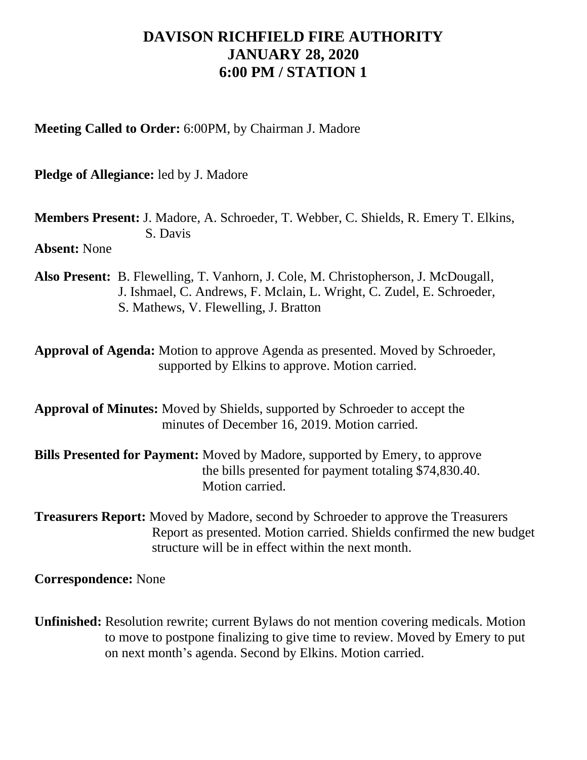## **DAVISON RICHFIELD FIRE AUTHORITY JANUARY 28, 2020 6:00 PM / STATION 1**

**Meeting Called to Order:** 6:00PM, by Chairman J. Madore

**Pledge of Allegiance:** led by J. Madore

**Members Present:** J. Madore, A. Schroeder, T. Webber, C. Shields, R. Emery T. Elkins, S. Davis

**Absent:** None

**Also Present:** B. Flewelling, T. Vanhorn, J. Cole, M. Christopherson, J. McDougall, J. Ishmael, C. Andrews, F. Mclain, L. Wright, C. Zudel, E. Schroeder, S. Mathews, V. Flewelling, J. Bratton

**Approval of Agenda:** Motion to approve Agenda as presented. Moved by Schroeder, supported by Elkins to approve. Motion carried.

**Approval of Minutes:** Moved by Shields, supported by Schroeder to accept the minutes of December 16, 2019. Motion carried.

**Bills Presented for Payment:** Moved by Madore, supported by Emery, to approve the bills presented for payment totaling \$74,830.40. Motion carried.

**Treasurers Report:** Moved by Madore, second by Schroeder to approve the Treasurers Report as presented. Motion carried. Shields confirmed the new budget structure will be in effect within the next month.

**Correspondence:** None

**Unfinished:** Resolution rewrite; current Bylaws do not mention covering medicals. Motion to move to postpone finalizing to give time to review. Moved by Emery to put on next month's agenda. Second by Elkins. Motion carried.